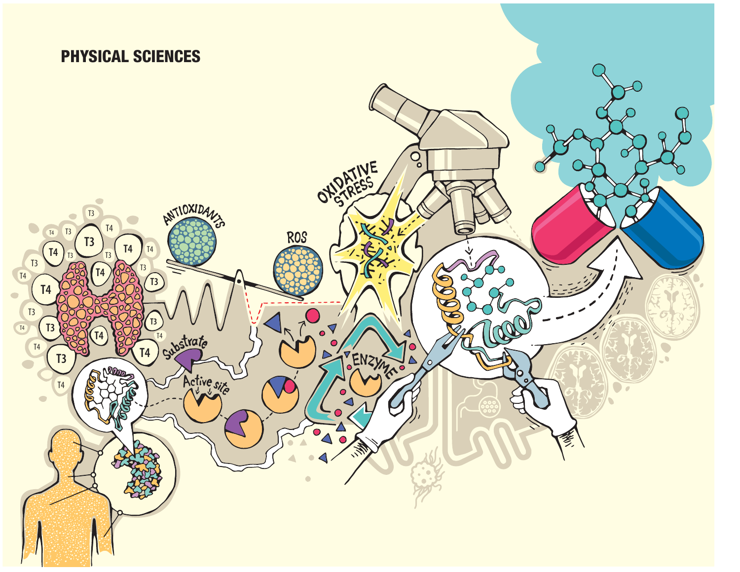